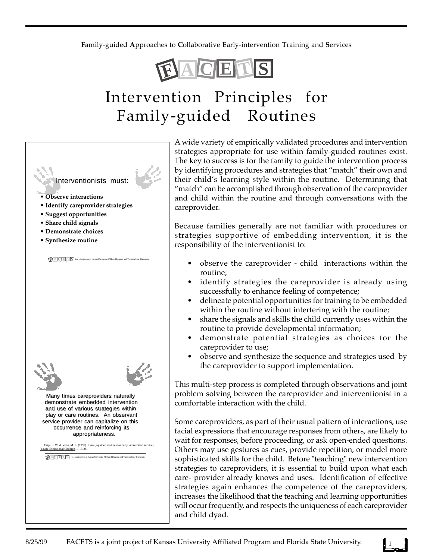**F**amily-guided **A**pproaches to **C**ollaborative **E**arly-intervention **T**raining and **S**ervices



# Intervention Principles for Family-guided Routines



A wide variety of empirically validated procedures and intervention strategies appropriate for use within family-guided routines exist. The key to success is for the family to guide the intervention process by identifying procedures and strategies that "match" their own and their child's learning style within the routine. Determining that "match" can be accomplished through observation of the careprovider and child within the routine and through conversations with the careprovider.

Because families generally are not familiar with procedures or strategies supportive of embedding intervention, it is the responsibility of the interventionist to:

- observe the careprovider child interactions within the routine;
- identify strategies the careprovider is already using successfully to enhance feeling of competence;
- delineate potential opportunities for training to be embedded within the routine without interfering with the routine;
- share the signals and skills the child currently uses within the routine to provide developmental information;
- demonstrate potential strategies as choices for the careprovider to use;
- observe and synthesize the sequence and strategies used by the careprovider to support implementation.

This multi-step process is completed through observations and joint problem solving between the careprovider and interventionist in a comfortable interaction with the child.

Some careproviders, as part of their usual pattern of interactions, use facial expressions that encourage responses from others, are likely to wait for responses, before proceeding, or ask open-ended questions. Others may use gestures as cues, provide repetition, or model more sophisticated skills for the child. Before "teaching" new intervention strategies to careproviders, it is essential to build upon what each care- provider already knows and uses. Identification of effective strategies again enhances the competence of the careproviders, increases the likelihood that the teaching and learning opportunities will occur frequently, and respects the uniqueness of each careprovider and child dyad.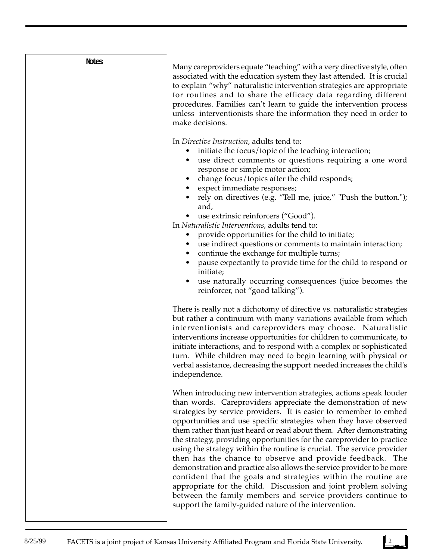### **Notes**

Many careproviders equate "teaching" with a very directive style, often associated with the education system they last attended. It is crucial to explain "why" naturalistic intervention strategies are appropriate for routines and to share the efficacy data regarding different procedures. Families can't learn to guide the intervention process unless interventionists share the information they need in order to make decisions.

In *Directive Instruction*, adults tend to:

- initiate the focus/topic of the teaching interaction;
- use direct comments or questions requiring a one word response or simple motor action;
- change focus/topics after the child responds;
- expect immediate responses;
- rely on directives (e.g. "Tell me, juice," "Push the button."); and,
- use extrinsic reinforcers ("Good").

In *Naturalistic Interventions*, adults tend to:

- provide opportunities for the child to initiate;
- use indirect questions or comments to maintain interaction;
- continue the exchange for multiple turns;
- pause expectantly to provide time for the child to respond or initiate;
- use naturally occurring consequences (juice becomes the reinforcer, not "good talking").

There is really not a dichotomy of directive vs. naturalistic strategies but rather a continuum with many variations available from which interventionists and careproviders may choose. Naturalistic interventions increase opportunities for children to communicate, to initiate interactions, and to respond with a complex or sophisticated turn. While children may need to begin learning with physical or verbal assistance, decreasing the support needed increases the child's independence.

When introducing new intervention strategies, actions speak louder than words. Careproviders appreciate the demonstration of new strategies by service providers. It is easier to remember to embed opportunities and use specific strategies when they have observed them rather than just heard or read about them. After demonstrating the strategy, providing opportunities for the careprovider to practice using the strategy within the routine is crucial. The service provider then has the chance to observe and provide feedback. The demonstration and practice also allows the service provider to be more confident that the goals and strategies within the routine are appropriate for the child. Discussion and joint problem solving between the family members and service providers continue to support the family-guided nature of the intervention.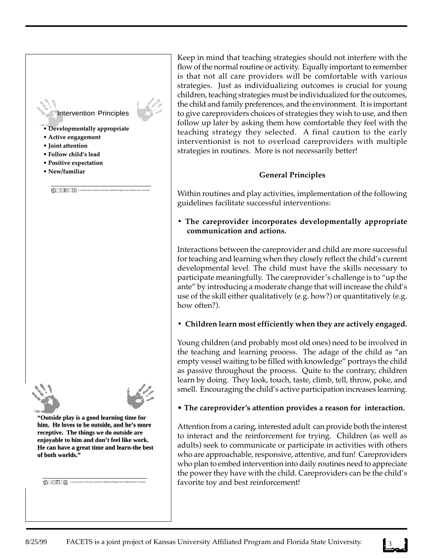### Intervention Principles

is a joint project of Kansas University Affiliated Program and Valdosta State University **F A C E T S**

- **Developmentally appropriate**
- **Active engagement**
- **Joint attention**
- **Follow child's lead**
- **Positive expectation**
- **New/familiar**



**"Outside play is a good learning time for "Outside play is a good learning time for him. He loves to be outside, and he's more him. He loves to be outside, and he's more**  receptive. The things we do outside are **enjoyable to him and don't feel like work. enjoyable to him and don't feel like work.**  He can have a great time and learn-the best **of both worlds."**

Keep in mind that teaching strategies should not interfere with the flow of the normal routine or activity. Equally important to remember is that not all care providers will be comfortable with various strategies. Just as individualizing outcomes is crucial for young children, teaching strategies must be individualized for the outcomes, the child and family preferences, and the environment. It is important to give careproviders choices of strategies they wish to use, and then follow up later by asking them how comfortable they feel with the teaching strategy they selected. A final caution to the early interventionist is not to overload careproviders with multiple strategies in routines. More is not necessarily better!

### **General Principles**

Within routines and play activities, implementation of the following guidelines facilitate successful interventions:

**• The careprovider incorporates developmentally appropriate communication and actions.**

Interactions between the careprovider and child are more successful for teaching and learning when they closely reflect the child's current developmental level. The child must have the skills necessary to participate meaningfully. The careprovider's challenge is to "up the ante" by introducing a moderate change that will increase the child's use of the skill either qualitatively (e.g. how?) or quantitatively (e.g. how often?).

### **• Children learn most efficiently when they are actively engaged.**

Young children (and probably most old ones) need to be involved in the teaching and learning process. The adage of the child as "an empty vessel waiting to be filled with knowledge" portrays the child as passive throughout the process. Quite to the contrary, children learn by doing. They look, touch, taste, climb, tell, throw, poke, and smell. Encouraging the child's active participation increases learning.

### • **The careprovider's attention provides a reason for interaction.**

Attention from a caring, interested adult can provide both the interest to interact and the reinforcement for trying. Children (as well as adults) seek to communicate or participate in activities with others who are approachable, responsive, attentive, and fun! Careproviders who plan to embed intervention into daily routines need to appreciate the power they have with the child. Careproviders can be the child's **f avorite toy and best reinforcement!**